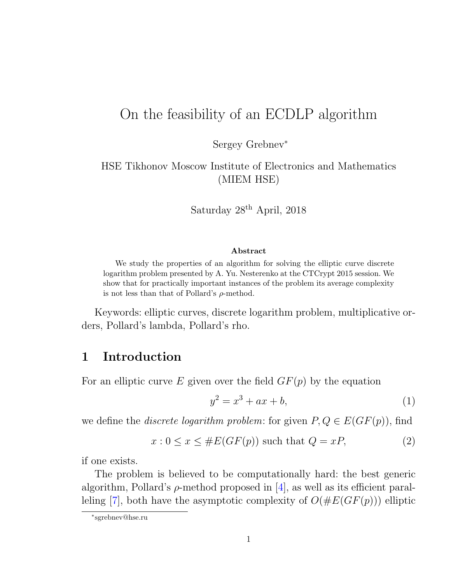# On the feasibility of an ECDLP algorithm

Sergey Grebnev<sup>∗</sup>

HSE Tikhonov Moscow Institute of Electronics and Mathematics (MIEM HSE)

Saturday 28th April, 2018

#### Abstract

We study the properties of an algorithm for solving the elliptic curve discrete logarithm problem presented by A. Yu. Nesterenko at the CTCrypt 2015 session. We show that for practically important instances of the problem its average complexity is not less than that of Pollard's  $\rho$ -method.

Keywords: elliptic curves, discrete logarithm problem, multiplicative orders, Pollard's lambda, Pollard's rho.

### 1 Introduction

For an elliptic curve E given over the field  $GF(p)$  by the equation

<span id="page-0-1"></span><span id="page-0-0"></span>
$$
y^2 = x^3 + ax + b,\t\t(1)
$$

we define the *discrete logarithm problem:* for given  $P, Q \in E(GF(p))$ , find

$$
x: 0 \le x \le \#E(GF(p)) \text{ such that } Q = xP,
$$
 (2)

if one exists.

The problem is believed to be computationally hard: the best generic algorithm, Pollard's  $\rho$ -method proposed in [\[4\]](#page-5-0), as well as its efficient paral-leling [\[7\]](#page-5-1), both have the asymptotic complexity of  $O(\#E(GF(p)))$  elliptic

<sup>∗</sup> sgrebnev@hse.ru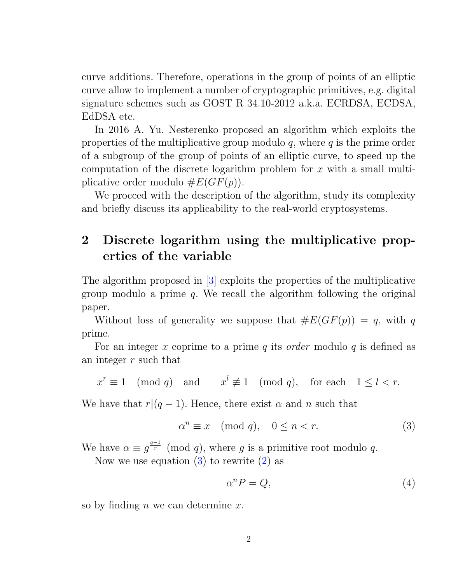curve additions. Therefore, operations in the group of points of an elliptic curve allow to implement a number of cryptographic primitives, e.g. digital signature schemes such as GOST R 34.10-2012 a.k.a. ECRDSA, ECDSA, EdDSA etc.

In 2016 A. Yu. Nesterenko proposed an algorithm which exploits the properties of the multiplicative group modulo  $q$ , where  $q$  is the prime order of a subgroup of the group of points of an elliptic curve, to speed up the computation of the discrete logarithm problem for  $x$  with a small multiplicative order modulo  $\#E(GF(p))$ .

We proceed with the description of the algorithm, study its complexity and briefly discuss its applicability to the real-world cryptosystems.

## <span id="page-1-2"></span>2 Discrete logarithm using the multiplicative properties of the variable

The algorithm proposed in [\[3\]](#page-5-2) exploits the properties of the multiplicative group modulo a prime  $q$ . We recall the algorithm following the original paper.

Without loss of generality we suppose that  $#E(GF(p)) = q$ , with q prime.

For an integer x coprime to a prime q its *order* modulo q is defined as an integer r such that

$$
x^r \equiv 1 \pmod{q}
$$
 and  $x^l \not\equiv 1 \pmod{q}$ , for each  $1 \le l < r$ .

We have that  $r|(q-1)$ . Hence, there exist  $\alpha$  and n such that

$$
\alpha^n \equiv x \pmod{q}, \quad 0 \le n < r. \tag{3}
$$

We have  $\alpha \equiv g^{\frac{q-1}{r}} \pmod{q}$ , where g is a primitive root modulo q.

Now we use equation  $(3)$  to rewrite  $(2)$  as

<span id="page-1-1"></span><span id="page-1-0"></span>
$$
\alpha^n P = Q,\tag{4}
$$

so by finding  $n$  we can determine  $x$ .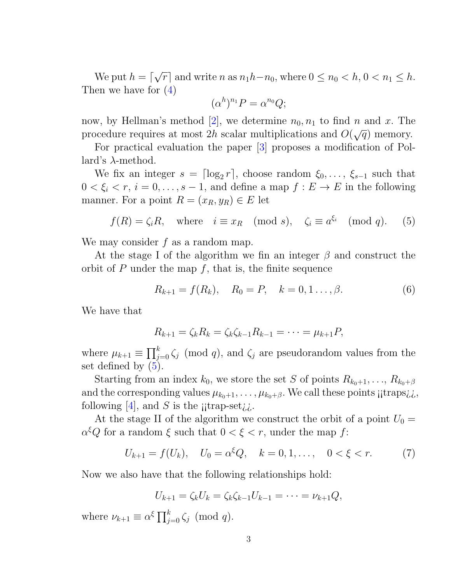We put  $h = \lceil$ √  $\overline{r}$  and write n as  $n_1h-n_0$ , where  $0 \le n_0 < h$ ,  $0 < n_1 \le h$ . Then we have for [\(4\)](#page-1-1)

<span id="page-2-0"></span>
$$
(\alpha^h)^{n_1}P=\alpha^{n_0}Q;
$$

now, by Hellman's method [\[2\]](#page-5-3), we determine  $n_0, n_1$  to find n and x. The procedure requires at most 2h scalar multiplications and  $O(\sqrt{q})$  memory.

For practical evaluation the paper [\[3\]](#page-5-2) proposes a modification of Pollard's λ-method.

We fix an integer  $s = \lceil \log_2 r \rceil$ , choose random  $\xi_0, \ldots, \xi_{s-1}$  such that  $0 < \xi_i < r, i = 0, \ldots, s - 1$ , and define a map  $f : E \to E$  in the following manner. For a point  $R = (x_R, y_R) \in E$  let

$$
f(R) = \zeta_i R, \quad \text{where} \quad i \equiv x_R \pmod{s}, \quad \zeta_i \equiv a^{\xi_i} \pmod{q}. \tag{5}
$$

We may consider  $f$  as a random map.

At the stage I of the algorithm we fin an integer  $\beta$  and construct the orbit of  $P$  under the map  $f$ , that is, the finite sequence

$$
R_{k+1} = f(R_k), \quad R_0 = P, \quad k = 0, 1 \dots, \beta.
$$
 (6)

We have that

$$
R_{k+1} = \zeta_k R_k = \zeta_k \zeta_{k-1} R_{k-1} = \cdots = \mu_{k+1} P,
$$

where  $\mu_{k+1} \equiv \prod_{j=0}^{k} \zeta_j \pmod{q}$ , and  $\zeta_j$  are pseudorandom values from the set defined by [\(5\)](#page-2-0).

Starting from an index  $k_0$ , we store the set S of points  $R_{k_0+1}, \ldots, R_{k_0+\beta}$ and the corresponding values  $\mu_{k_0+1}, \ldots, \mu_{k_0+\beta}$ . We call these points  $\mu$ traps $\lambda \lambda$ . following  $|4|$ , and S is the jitrap-set $\chi$ .

At the stage II of the algorithm we construct the orbit of a point  $U_0 =$  $\alpha^{\xi}Q$  for a random  $\xi$  such that  $0 < \xi < r$ , under the map f:

$$
U_{k+1} = f(U_k), \quad U_0 = \alpha^{\xi} Q, \quad k = 0, 1, ..., \quad 0 < \xi < r. \tag{7}
$$

Now we also have that the following relationships hold:

$$
U_{k+1} = \zeta_k U_k = \zeta_k \zeta_{k-1} U_{k-1} = \cdots = \nu_{k+1} Q,
$$

where  $\nu_{k+1} \equiv \alpha^{\xi} \prod_{j=0}^{k} \zeta_j \pmod{q}$ .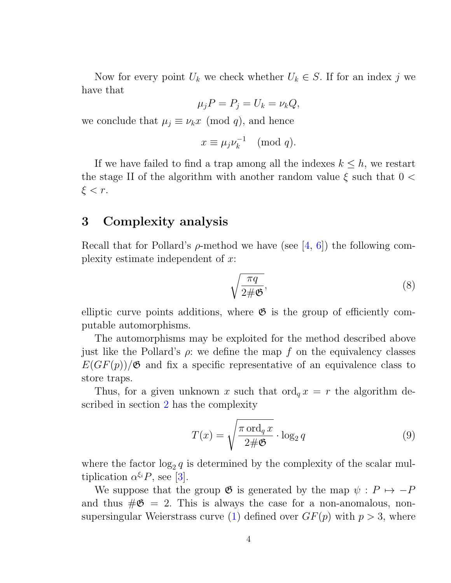Now for every point  $U_k$  we check whether  $U_k \in S$ . If for an index j we have that

$$
\mu_j P = P_j = U_k = \nu_k Q,
$$

we conclude that  $\mu_j \equiv \nu_k x \pmod{q}$ , and hence

$$
x \equiv \mu_j \nu_k^{-1} \pmod{q}.
$$

If we have failed to find a trap among all the indexes  $k \leq h$ , we restart the stage II of the algorithm with another random value  $\xi$  such that  $0 <$  $\xi < r$ .

### 3 Complexity analysis

Recall that for Pollard's  $\rho$ -method we have (see [\[4,](#page-5-0) [6\]](#page-5-4)) the following complexity estimate independent of  $x$ :

$$
\sqrt{\frac{\pi q}{2\#\mathfrak{G}}},\tag{8}
$$

elliptic curve points additions, where  $\mathfrak{G}$  is the group of efficiently computable automorphisms.

The automorphisms may be exploited for the method described above just like the Pollard's  $\rho$ : we define the map f on the equivalency classes  $E(GF(p))/\mathfrak{G}$  and fix a specific representative of an equivalence class to store traps.

Thus, for a given unknown x such that  $\text{ord}_q x = r$  the algorithm described in section [2](#page-1-2) has the complexity

$$
T(x) = \sqrt{\frac{\pi \operatorname{ord}_q x}{2\#\mathfrak{G}}} \cdot \log_2 q \tag{9}
$$

where the factor  $\log_2 q$  is determined by the complexity of the scalar multiplication  $\alpha^{\xi_i} P$ , see [\[3\]](#page-5-2).

We suppose that the group  $\mathfrak G$  is generated by the map  $\psi : P \mapsto -P$ and thus  $\#\mathfrak{G} = 2$ . This is always the case for a non-anomalous, non-supersingular Weierstrass curve [\(1\)](#page-0-1) defined over  $GF(p)$  with  $p > 3$ , where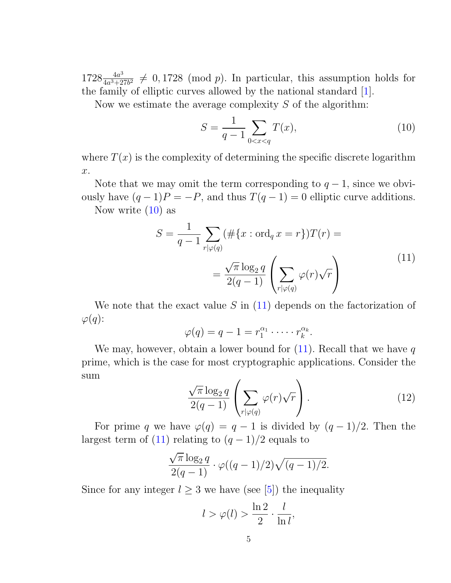$1728 \frac{4a^3}{4a^3+2}$  $\frac{4a^3}{4a^3+27b^2} \neq 0,1728 \pmod{p}$ . In particular, this assumption holds for the family of elliptic curves allowed by the national standard [\[1\]](#page-5-5).

Now we estimate the average complexity  $S$  of the algorithm:

<span id="page-4-0"></span>
$$
S = \frac{1}{q-1} \sum_{0 < x < q} T(x),\tag{10}
$$

where  $T(x)$  is the complexity of determining the specific discrete logarithm x.

Note that we may omit the term corresponding to  $q-1$ , since we obviously have  $(q-1)P = -P$ , and thus  $T(q-1) = 0$  elliptic curve additions.

Now write  $(10)$  as

<span id="page-4-1"></span>
$$
S = \frac{1}{q-1} \sum_{r|\varphi(q)} (\# \{x : \text{ord}_q x = r\}) T(r) =
$$

$$
= \frac{\sqrt{\pi} \log_2 q}{2(q-1)} \left( \sum_{r|\varphi(q)} \varphi(r) \sqrt{r} \right)
$$
(11)

We note that the exact value  $S$  in  $(11)$  depends on the factorization of  $\varphi(q)$ :

$$
\varphi(q) = q - 1 = r_1^{\alpha_1} \cdot \dots \cdot r_k^{\alpha_k}.
$$

<span id="page-4-2"></span>We may, however, obtain a lower bound for  $(11)$ . Recall that we have q prime, which is the case for most cryptographic applications. Consider the sum

$$
\frac{\sqrt{\pi} \log_2 q}{2(q-1)} \left( \sum_{r|\varphi(q)} \varphi(r)\sqrt{r} \right).
$$
\n(12)

For prime q we have  $\varphi(q) = q - 1$  is divided by  $(q - 1)/2$ . Then the largest term of [\(11\)](#page-4-1) relating to  $(q-1)/2$  equals to

$$
\frac{\sqrt{\pi}\log_2 q}{2(q-1)} \cdot \varphi((q-1)/2)\sqrt{(q-1)/2}.
$$

Since for any integer  $l \geq 3$  we have (see [\[5\]](#page-5-6)) the inequality

$$
l > \varphi(l) > \frac{\ln 2}{2} \cdot \frac{l}{\ln l},
$$